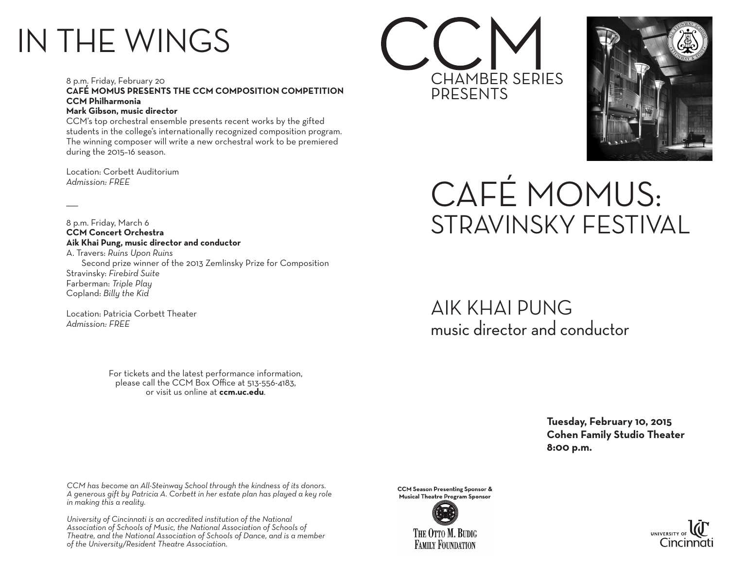## IN THE WINGS

8 p.m. Friday, February 20 **CAFÉ MOMUS PRESENTS THE CCM COMPOSITION COMPETITION CCM Philharmonia Mark Gibson, music director**

CCM's top orchestral ensemble presents recent works by the gifted students in the college's internationally recognized composition program. The winning composer will write a new orchestral work to be premiered during the 2015–16 season.

Location: Corbett Auditorium *Admission: FREE*

 $\overline{\phantom{a}}$ 

8 p.m. Friday, March 6 **CCM Concert Orchestra Aik Khai Pung, music director and conductor**

A. Travers: *Ruins Upon Ruins* Second prize winner of the 2013 Zemlinsky Prize for Composition Stravinsky: *Firebird Suite* Farberman: *Triple Play* Copland: *Billy the Kid*

Location: Patricia Corbett Theater *Admission: FREE*

> For tickets and the latest performance information, please call the CCM Box Office at 513-556-4183, or visit us online at **ccm.uc.edu**.

*CCM has become an All-Steinway School through the kindness of its donors. A generous gift by Patricia A. Corbett in her estate plan has played a key role in making this a reality.*

*University of Cincinnati is an accredited institution of the National Association of Schools of Music, the National Association of Schools of Theatre, and the National Association of Schools of Dance, and is a member of the University/Resident Theatre Association.*

**CCM Season Presenting Sponsor & Musical Theatre Program Sponsor** 





## CAFÉ MOMUS: STRAVINSKY FESTIVAL

AIK KHAI PUNG music director and conductor

CHAMBER SERIES

PRESENTS

 **Tuesday, February 10, 2015 Cohen Family Studio Theater 8:00 p.m.**